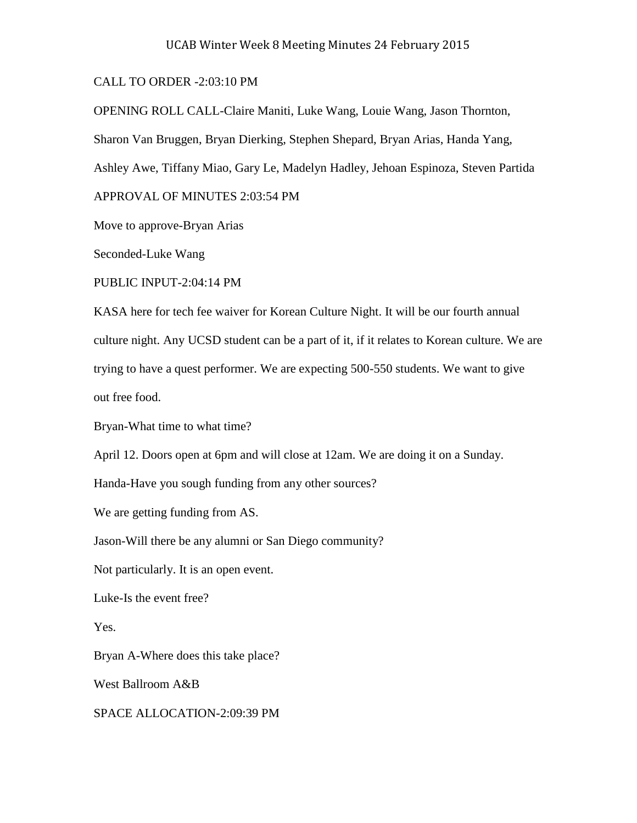## CALL TO ORDER -2:03:10 PM

OPENING ROLL CALL-Claire Maniti, Luke Wang, Louie Wang, Jason Thornton,

Sharon Van Bruggen, Bryan Dierking, Stephen Shepard, Bryan Arias, Handa Yang,

Ashley Awe, Tiffany Miao, Gary Le, Madelyn Hadley, Jehoan Espinoza, Steven Partida

APPROVAL OF MINUTES 2:03:54 PM

Move to approve-Bryan Arias

Seconded-Luke Wang

PUBLIC INPUT-2:04:14 PM

KASA here for tech fee waiver for Korean Culture Night. It will be our fourth annual culture night. Any UCSD student can be a part of it, if it relates to Korean culture. We are trying to have a quest performer. We are expecting 500-550 students. We want to give out free food.

Bryan-What time to what time?

April 12. Doors open at 6pm and will close at 12am. We are doing it on a Sunday.

Handa-Have you sough funding from any other sources?

We are getting funding from AS.

Jason-Will there be any alumni or San Diego community?

Not particularly. It is an open event.

Luke-Is the event free?

Yes.

Bryan A-Where does this take place?

West Ballroom A&B

SPACE ALLOCATION-2:09:39 PM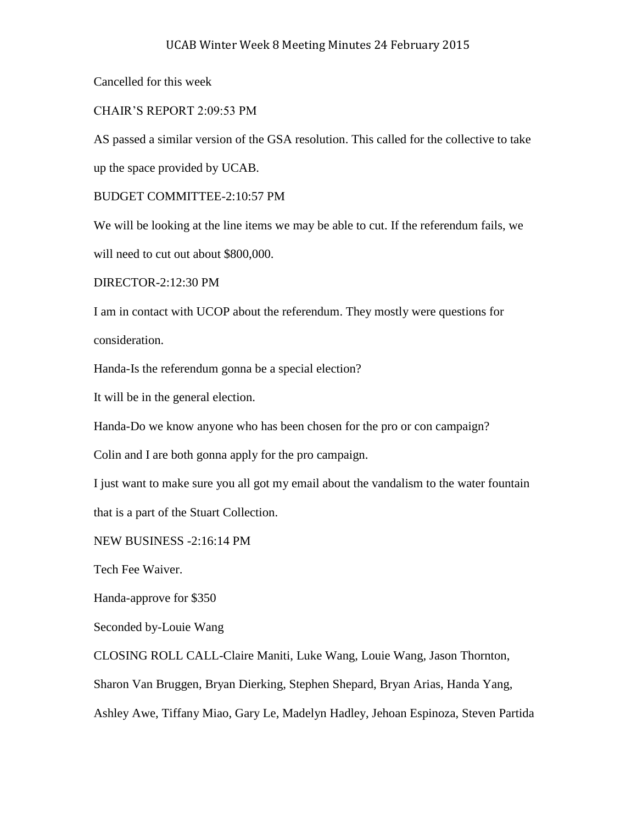Cancelled for this week

## CHAIR'S REPORT 2:09:53 PM

AS passed a similar version of the GSA resolution. This called for the collective to take up the space provided by UCAB.

BUDGET COMMITTEE-2:10:57 PM

We will be looking at the line items we may be able to cut. If the referendum fails, we will need to cut out about \$800,000.

DIRECTOR-2:12:30 PM

I am in contact with UCOP about the referendum. They mostly were questions for consideration.

Handa-Is the referendum gonna be a special election?

It will be in the general election.

Handa-Do we know anyone who has been chosen for the pro or con campaign?

Colin and I are both gonna apply for the pro campaign.

I just want to make sure you all got my email about the vandalism to the water fountain that is a part of the Stuart Collection.

NEW BUSINESS -2:16:14 PM

Tech Fee Waiver.

Handa-approve for \$350

Seconded by-Louie Wang

CLOSING ROLL CALL-Claire Maniti, Luke Wang, Louie Wang, Jason Thornton,

Sharon Van Bruggen, Bryan Dierking, Stephen Shepard, Bryan Arias, Handa Yang,

Ashley Awe, Tiffany Miao, Gary Le, Madelyn Hadley, Jehoan Espinoza, Steven Partida